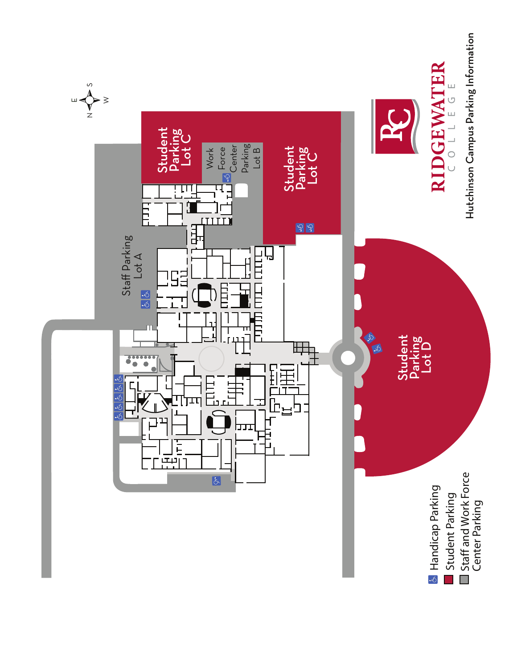